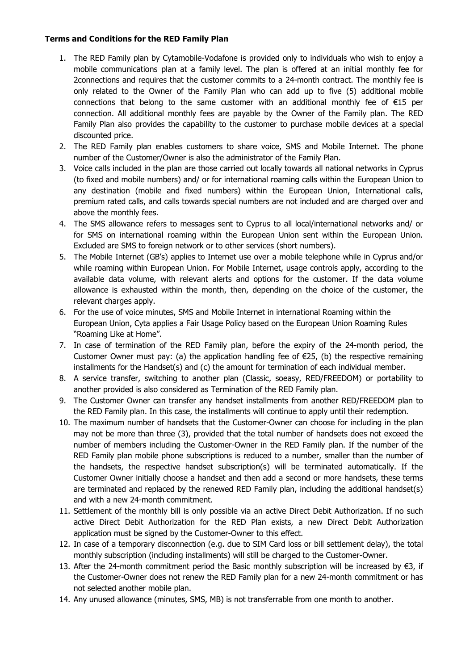## **Terms and Conditions for the RED Family Plan**

- 1. The RED Family plan by Cytamobile-Vodafone is provided only to individuals who wish to enjoy a mobile communications plan at a family level. The plan is offered at an initial monthly fee for 2connections and requires that the customer commits to a 24-month contract. The monthly fee is only related to the Owner of the Family Plan who can add up to five (5) additional mobile connections that belong to the same customer with an additional monthly fee of €15 per connection. All additional monthly fees are payable by the Owner of the Family plan. The RED Family Plan also provides the capability to the customer to purchase mobile devices at a special discounted price.
- 2. The RED Family plan enables customers to share voice, SMS and Mobile Internet. The phone number of the Customer/Owner is also the administrator of the Family Plan.
- 3. Voice calls included in the plan are those carried out locally towards all national networks in Cyprus (to fixed and mobile numbers) and/ or for international roaming calls within the European Union to any destination (mobile and fixed numbers) within the European Union, International calls, premium rated calls, and calls towards special numbers are not included and are charged over and above the monthly fees.
- 4. The SMS allowance refers to messages sent to Cyprus to all local/international networks and/ or for SMS on international roaming within the European Union sent within the European Union. Excluded are SMS to foreign network or to other services (short numbers).
- 5. The Mobile Internet (GB's) applies to Internet use over a mobile telephone while in Cyprus and/or while roaming within European Union. For Mobile Internet, usage controls apply, according to the available data volume, with relevant alerts and options for the customer. If the data volume allowance is exhausted within the month, then, depending on the choice of the customer, the relevant charges apply.
- 6. For the use of voice minutes, SMS and Mobile Internet in international Roaming within the European Union, Cyta applies a Fair Usage Policy based on the European Union Roaming Rules "Roaming Like at Home".
- 7. In case of termination of the RED Family plan, before the expiry of the 24-month period, the Customer Owner must pay: (a) the application handling fee of  $E$ 25, (b) the respective remaining installments for the Handset(s) and (c) the amount for termination of each individual member.
- 8. A service transfer, switching to another plan (Classic, soeasy, RED/FREEDOM) or portability to another provided is also considered as Termination of the RED Family plan.
- 9. The Customer Owner can transfer any handset installments from another RED/FREEDOM plan to the RED Family plan. In this case, the installments will continue to apply until their redemption.
- 10. The maximum number of handsets that the Customer-Owner can choose for including in the plan may not be more than three (3), provided that the total number of handsets does not exceed the number of members including the Customer-Owner in the RED Family plan. If the number of the RED Family plan mobile phone subscriptions is reduced to a number, smaller than the number of the handsets, the respective handset subscription(s) will be terminated automatically. If the Customer Owner initially choose a handset and then add a second or more handsets, these terms are terminated and replaced by the renewed RED Family plan, including the additional handset(s) and with a new 24-month commitment.
- 11. Settlement of the monthly bill is only possible via an active Direct Debit Authorization. If no such active Direct Debit Authorization for the RED Plan exists, a new Direct Debit Authorization application must be signed by the Customer-Owner to this effect.
- 12. In case of a temporary disconnection (e.g. due to SIM Card loss or bill settlement delay), the total monthly subscription (including installments) will still be charged to the Customer-Owner.
- 13. After the 24-month commitment period the Basic monthly subscription will be increased by €3, if the Customer-Owner does not renew the RED Family plan for a new 24-month commitment or has not selected another mobile plan.
- 14. Any unused allowance (minutes, SMS, MB) is not transferrable from one month to another.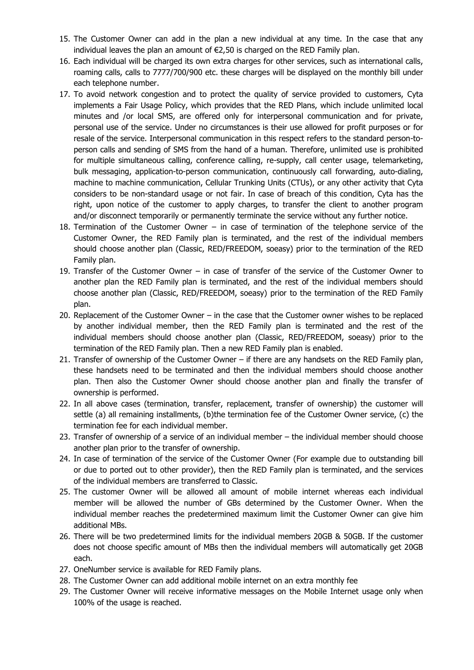- 15. The Customer Owner can add in the plan a new individual at any time. In the case that any individual leaves the plan an amount of €2,50 is charged on the RED Family plan.
- 16. Each individual will be charged its own extra charges for other services, such as international calls, roaming calls, calls to 7777/700/900 etc. these charges will be displayed on the monthly bill under each telephone number.
- 17. To avoid network congestion and to protect the quality of service provided to customers, Cyta implements a Fair Usage Policy, which provides that the RED Plans, which include unlimited local minutes and /or local SMS, are offered only for interpersonal communication and for private, personal use of the service. Under no circumstances is their use allowed for profit purposes or for resale of the service. Interpersonal communication in this respect refers to the standard person-toperson calls and sending of SMS from the hand of a human. Therefore, unlimited use is prohibited for multiple simultaneous calling, conference calling, re-supply, call center usage, telemarketing, bulk messaging, application-to-person communication, continuously call forwarding, auto-dialing, machine to machine communication, Cellular Trunking Units (CTUs), or any other activity that Cyta considers to be non-standard usage or not fair. In case of breach of this condition, Cyta has the right, upon notice of the customer to apply charges, to transfer the client to another program and/or disconnect temporarily or permanently terminate the service without any further notice.
- 18. Termination of the Customer Owner in case of termination of the telephone service of the Customer Owner, the RED Family plan is terminated, and the rest of the individual members should choose another plan (Classic, RED/FREEDOM, soeasy) prior to the termination of the RED Family plan.
- 19. Transfer of the Customer Owner in case of transfer of the service of the Customer Owner to another plan the RED Family plan is terminated, and the rest of the individual members should choose another plan (Classic, RED/FREEDOM, soeasy) prior to the termination of the RED Family plan.
- 20. Replacement of the Customer Owner in the case that the Customer owner wishes to be replaced by another individual member, then the RED Family plan is terminated and the rest of the individual members should choose another plan (Classic, RED/FREEDOM, soeasy) prior to the termination of the RED Family plan. Then a new RED Family plan is enabled.
- 21. Transfer of ownership of the Customer Owner if there are any handsets on the RED Family plan, these handsets need to be terminated and then the individual members should choose another plan. Then also the Customer Owner should choose another plan and finally the transfer of ownership is performed.
- 22. In all above cases (termination, transfer, replacement, transfer of ownership) the customer will settle (a) all remaining installments, (b)the termination fee of the Customer Owner service, (c) the termination fee for each individual member.
- 23. Transfer of ownership of a service of an individual member the individual member should choose another plan prior to the transfer of ownership.
- 24. In case of termination of the service of the Customer Owner (For example due to outstanding bill or due to ported out to other provider), then the RED Family plan is terminated, and the services of the individual members are transferred to Classic.
- 25. The customer Owner will be allowed all amount of mobile internet whereas each individual member will be allowed the number of GBs determined by the Customer Owner. When the individual member reaches the predetermined maximum limit the Customer Owner can give him additional MBs.
- 26. There will be two predetermined limits for the individual members 20GB & 50GB. If the customer does not choose specific amount of MBs then the individual members will automatically get 20GB each.
- 27. OneNumber service is available for RED Family plans.
- 28. The Customer Owner can add additional mobile internet on an extra monthly fee
- 29. The Customer Owner will receive informative messages on the Mobile Internet usage only when 100% of the usage is reached.